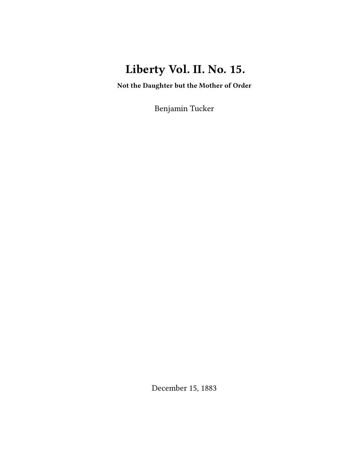# **Liberty Vol. II. No. 15.**

**Not the Daughter but the Mother of Order**

Benjamin Tucker

December 15, 1883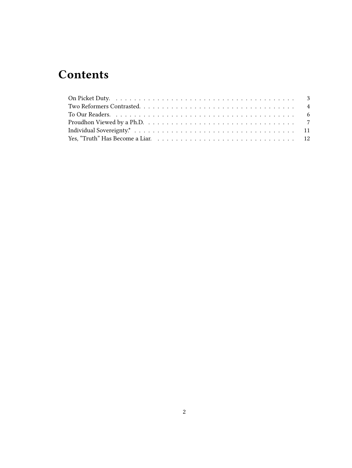## **Contents**

| Proudhon Viewed by a Ph.D. $\ldots \ldots \ldots \ldots \ldots \ldots \ldots \ldots \ldots \ldots \ldots \ldots$ |  |
|------------------------------------------------------------------------------------------------------------------|--|
|                                                                                                                  |  |
|                                                                                                                  |  |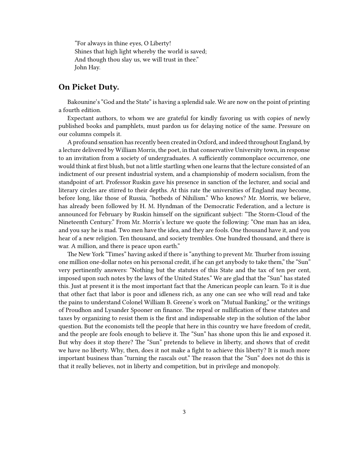"For always in thine eyes, O Liberty! Shines that high light whereby the world is saved; And though thou slay us, we will trust in thee." John Hay.

#### <span id="page-2-0"></span>**On Picket Duty.**

Bakounine's "God and the State" is having a splendid sale. We are now on the point of printing a fourth edition.

Expectant authors, to whom we are grateful for kindly favoring us with copies of newly published books and pamphlets, must pardon us for delaying notice of the same. Pressure on our columns compels it.

A profound sensation has recently been created in Oxford, and indeed throughout England, by a lecture delivered by William Morris, the poet, in that conservative University town, in response to an invitation from a society of undergraduates. A sufficiently commonplace occurrence, one would think at first blush, but not a little startling when one learns that the lecture consisted of an indictment of our present industrial system, and a championship of modern socialism, from the standpoint of art. Professor Ruskin gave his presence in sanction of the lecturer, and social and literary circles are stirred to their depths. At this rate the universities of England may become, before long, like those of Russia, "hotbeds of Nihilism." Who knows? Mr. Morris, we believe, has already been followed by H. M. Hyndman of the Democratic Federation, and a lecture is announced for February by Ruskin himself on the significant subject: "The Storm-Cloud of the Nineteenth Century." From Mr. Morris's lecture we quote the following: "One man has an idea, and you say he is mad. Two men have the idea, and they are fools. One thousand have it, and you hear of a new religion. Ten thousand, and society trembles. One hundred thousand, and there is war. A million, and there is peace upon earth."

The New York "Times" having asked if there is "anything to prevent Mr. Thurber from issuing one million one-dollar notes on his personal credit, if he can get anybody to take them," the "Sun" very pertinently answers: "Nothing but the statutes of this State and the tax of ten per cent, imposed upon such notes by the laws of the United States." We are glad that the "Sun" has stated this. Just at present it is the most important fact that the American people can learn. To it is due that other fact that labor is poor and idleness rich, as any one can see who will read and take the pains to understand Colonel William B. Greene's work on "Mutual Banking," or the writings of Proudhon and Lysander Spooner on finance. The repeal or nullification of these statutes and taxes by organizing to resist them is the first and indispensable step in the solution of the labor question. But the economists tell the people that here in this country we have freedom of credit, and the people are fools enough to believe it. The "Sun" has shone upon this lie and exposed it. But why does it stop there? The "Sun" pretends to believe in liberty, and shows that of credit we have no liberty. Why, then, does it not make a fight to achieve this liberty? It is much more important business than "turning the rascals out." The reason that the "Sun" does not do this is that it really believes, not in liberty and competition, but in privilege and monopoly.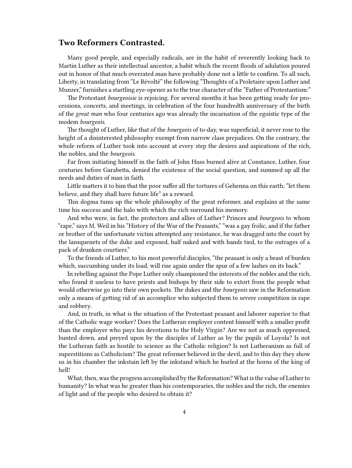### <span id="page-3-0"></span>**Two Reformers Contrasted.**

Many good people, and especially radicals, are in the habit of reverently looking back to Martin Luther as their intellectual ancestor, a habit which the recent floods of adulation poured out in honor of that much overrated man have probably done not a little to confirm. To all such, Liberty, in translating from "Le Révolté" the following "Thoughts of a Proletaire upon Luther and Munzer," furnishes a startling eye-opener as to the true character of the "Father of Protestantism:"

The Protestant *bourgeoisie* is rejoicing. For several months it has been getting ready for processions, concerts, and meetings, in celebration of the four hundredth anniversary of the birth of the *great man* who four centuries ago was already the incarnation of the egoistic type of the modem *bourgeois*.

The thought of Luther, like that of the *bourgeois* of to-day, was superficial; it never rose to the height of a disinterested philosophy exempt from narrow class prejudices. On the contrary, the whole reform of Luther took into account at every step the desires and aspirations of the rich, the nobles, and the *bourgeois*.

Far from initiating himself in the faith of John Huss burned alive at Constance, Luther, four centuries before Garabetta, denied the existence of the social question, and summed up all the needs and duties of man in faith.

Little matters it to him that the poor suffer all the tortures of Gehenna on this earth; "let them believe, and they shall have future life" as a reward.

This dogma tums up the whole philosophy of the great reformer, and explains at the same time his success and the halo with which the rich surround his memory.

And who were, in fact, the protectors and allies of Luther? Princes and *bourgeois* to whom "rape," says M. Weil in his "History of the War of the Peasants," "was a gay frolic, and if the father or brother of the unfortunate victim attempted any resistance, he was dragged into the court by the lansquenets of the duke and exposed, half naked and with hands tied, to the outrages of a pack of drunken courtiers."

To the friends of Luther, to his most powerful disciples, "the peasant is only a beast of burden which, succumbing under its load, will rise again under the spur of a few lashes on its back."

In rebelling against the Pope Luther only championed the interests of the nobles and the rich, who found it useless to have priests and bishops by their side to extort from the people what would otherwise go into their own pockets. The dukes and the *bourgeois* saw in the Reformation only a means of getting rid of an accomplice who subjected them to severe competition in rape and robbery.

And, in truth, in what is the situation of the Protestant peasant and laborer superior to that of the Catholic wage worker? Does the Lutheran employer content himself with a smaller profit than the employer who pays his devotions to the Holy Virgin? Are we not as much oppressed, bunted down, and preyed upon by the disciples of Luther as by the pupils of Loyola? Is not the Lutheran faith as hostile to science as the Catholic religion? Is not Lutheranism as full of superstitions as Catholicism? The great reformer believed in the devil, and to this day they show us in his chamber the inkstain left by the inkstand which he hurled at the horns of the king of hell!

What, then, was the progress accomplished by the Reformation? What is the value of Luther to humanity? In what was he greater than his contemporaries, the nobles and the rich, the enemies of light and of the people who desired to obtain it?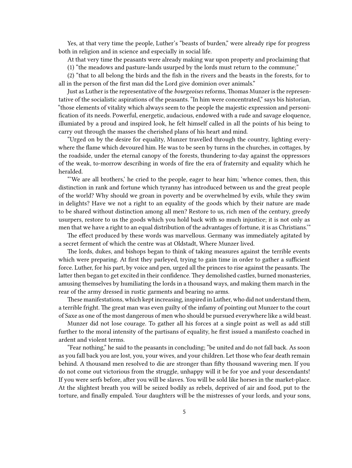Yes, at that very time the people, Luther's "beasts of burden," were already ripe for progress both in religion and in science and especially in social life.

At that very time the peasants were already making war upon property and proclaiming that

(1) "the meadows and pasture-lands usurped by the lords must return to the commune;"

(2) "that to all belong the birds and the fish in the rivers and the beasts in the forests, for to all in the person of the first man did the Lord give dominion over animals."

Just as Luther is the representative of the *bourgeoises* reforms, Thomas Munzer is the representative of the socialistic aspirations of the peasants. "In him were concentrated," says bis historian, "those elements of vitality which always seem to the people the majestic expression and personification of its needs. Powerful, energetic, audacious, endowed with a rude and savage eloquence, illumiated by a proud and inspired look, he felt himself called in all the points of his being to carry out through the masses the cherished plans of his heart and mind.

"Urged on by the desire for equality, Munzer travelled through the country, lighting everywhere the flame which devoured him. He was to be seen by turns in the churches, in cottages, by the roadside, under the eternal canopy of the forests, thundering to-day against the oppressors of the weak, to-morrow describing in words of fire the era of fraternity and equality which he heralded.

"'We are all brothers,' he cried to the people, eager to hear him; 'whence comes, then, this distinction in rank and fortune which tyranny has introduced between us and the great people of the world? Why should we groan in poverty and be overwhelmed by evils, while they swim in delights? Have we not a right to an equality of the goods which by their nature are made to be shared without distinction among all men? Restore to us, rich men of the century, greedy usurpers, restore to us the goods which you hold back with so much injustice; it is not only as men that we have a right to an equal distribution of the advantages of fortune, it is as Christians.'"

The effect produced by these words was marvellous. Germany was immediately agitated by a secret ferment of which the centre was at Oldstadt, Where Munzer lived.

The lords, dukes, and bishops began to think of taking measures against the terrible events which were preparing. At first they parleyed, trying to gain time in order to gather a sufficient force. Luther, for his part, by voice and pen, urged all the princes to rise against the peasants. The latter then began to get excited in their confidence. They demolished castles, burned monasteries, amusing themselves by humiliating the lords in a thousand ways, and making them march in the rear of the army dressed in rustic garments and bearing no arms.

These manifestations, which kept increasing, inspired in Luther, who did not understand them, a terrible fright. The great man was even guilty of the infamy of pointing out Munzer to the court of Saxe as one of the most dangerous of men who should be pursued everywhere like a wild beast.

Munzer did not lose courage. To gather all his forces at a single point as well as add still further to the moral intensity of the partisans of equality, he first issued a manifesto coached in ardent and violent terms.

"Fear nothing," he said to the peasants in concluding; "be united and do not fall back. As soon as you fall back you are lost, you, your wives, and your children. Let those who fear death remain behind. A thousand men resolved to die are stronger than fifty thousand wavering men. If you do not come out victorious from the struggle, unhappy will it be for yoe and your descendants! If you were serfs before, after you will be slaves. You will be sold like horses in the market-place. At the slightest breath you will be seized bodily as rebels, deprived of air and food, put to the torture, and finally empaled. Your daughters will be the mistresses of your lords, and your sons,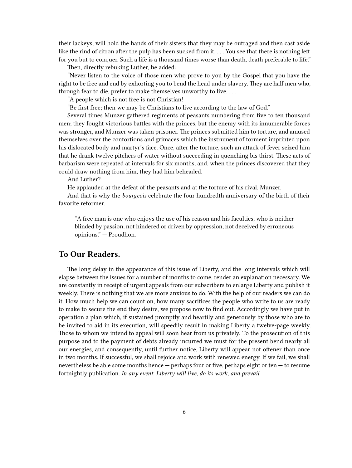their lackeys, will hold the hands of their sisters that they may be outraged and then cast aside like the rind of citron after the pulp has been sucked from it. . . . You see that there is nothing left for you but to conquer. Such a life is a thousand times worse than death, death preferable to life."

Then, directly rebuking Luther, he added:

"Never listen to the voice of those men who prove to you by the Gospel that you have the right to be free and end by exhorting you to bend the head under slavery. They are half men who, through fear to die, prefer to make themselves unworthy to live. . . .

"A people which is not free is not Christian!

"Be first free; then we may be Christians to live according to the law of God."

Several times Munzer gathered regiments of peasants numbering from five to ten thousand men; they fought victorious battles with the princes, but the enemy with its innumerable forces was stronger, and Munzer was taken prisoner. The princes submitted him to torture, and amused themselves over the contortions and grimaces which the instrument of torment imprinted upon his dislocated body and martyr's face. Once, after the torture, such an attack of fever seized him that he drank twelve pitchers of water without succeeding in quenching bis thirst. These acts of barbarism were repeated at intervals for six months, and, when the princes discovered that they could draw nothing from him, they had him beheaded.

And Luther?

He applauded at the defeat of the peasants and at the torture of his rival, Munzer.

And that is why the *bourgeois* celebrate the four hundredth anniversary of the birth of their favorite reformer.

"A free man is one who enjoys the use of his reason and his faculties; who is neither blinded by passion, not hindered or driven by oppression, not deceived by erroneous opinions." — Proudhon.

### <span id="page-5-0"></span>**To Our Readers.**

The long delay in the appearance of this issue of Liberty, and the long intervals which will elapse between the issues for a number of months to come, render an explanation necessary. We are constantly in receipt of urgent appeals from our subscribers to enlarge Liberty and publish it weekly. There is nothing that we are more anxious to do. With the help of our readers we can do it. How much help we can count on, how many sacrifices the people who write to us are ready to make to secure the end they desire, we propose now to find out. Accordingly we have put in operation a plan which, if sustained promptly and heartily and generously by those who are to be invited to aid in its execution, will speedily result in making Liberty a twelve-page weekly. Those to whom we intend to appeal will soon hear from us privately. To the prosecution of this purpose and to the payment of debts already incurred we must for the present bend nearly all our energies, and consequently, until further notice, Liberty will appear not oftener than once in two months. If successful, we shall rejoice and work with renewed energy. If we fail, we shall nevertheless be able some months hence — perhaps four or five, perhaps eight or ten — to resume fortnightly publication. *In any event, Liberty will live, do its work, and prevail.*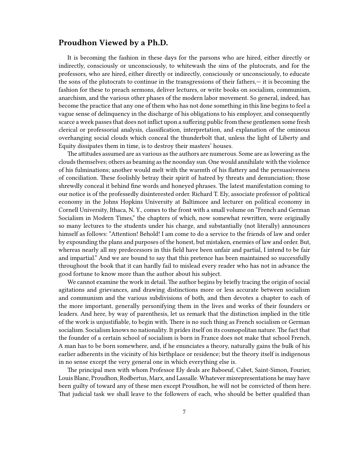#### <span id="page-6-0"></span>**Proudhon Viewed by a Ph.D.**

It is becoming the fashion in these days for the parsons who are hired, either directly or indirectly, consciously or unconsciously, to whitewash the sins of the plutocrats, and for the professors, who are hired, either directly or indirectly, consciously or unconsciously, to educate the sons of the plutocrats to continue in the transgressions of their fathers,— it is becoming the fashion for these to preach sermons, deliver lectures, or write books on socialism, communism, anarchism, and the various other phases of the modern labor movement. So general, indeed, has become the practice that any one of them who has not done something in this line begins to feel a vague sense of delinquency in the discharge of his obligations to his employer, and consequently scarce a week passes that does not inflict upon a suffering public from these gentlemen some fresh clerical or professorial analysis, classification, interpretation, and explanation of the ominous overhanging social clouds which conceal the thunderbolt that, unless the light of Liberty and Equity dissipates them in time, is to destroy their masters' houses.

The attitudes assumed are as various as the authors are numerous. Some are as lowering as the clouds themselves; others as beaming as the noonday sun. One would annihilate with the violence of his fulminations; another would melt with the warmth of his flattery and the persuasiveness of conciliation. These foolishly betray their spirit of hatred by threats and denunciation; those shrewdly conceal it behind fine words and honeyed phrases. The latest manifestation coming to our notice is of the professedly disinterested order. Richard T. Ely, associate professor of political economy in the Johns Hopkins University at Baltimore and lecturer on political economy in Cornell University, Ithaca, N. Y., comes to the front with a small volume on "French and German Socialism in Modern Times," the chapters of which, now somewhat rewritten, were originally so many lectures to the students under his charge, and substantially (not literally) announces himself as follows: "Attention! Behold! I am come to do a service to the friends of law and order by expounding the plans and purposes of the honest, but mistaken, enemies of law and order. But, whereas nearly all my predecessors in this field have been unfair and partial, I intend to be fair and impartial." And we are bound to say that this pretence has been maintained so successfully throughout the book that it can hardly fail to mislead every reader who has not in advance the good fortune to know more than the author about his subject.

We cannot examine the work in detail. The author begins by briefly tracing the origin of social agitations and grievances, and drawing distinctions more or less accurate between socialism and communism and the various subdivisions of both, and then devotes a chapter to each of the more important, generally personifying them in the lives and works of their founders or leaders. And here, by way of parenthesis, let us remark that the distinction implied in the title of the work is unjustifiable, to begin with. There is no such thing as French socialism or German socialism. Socialism knows no nationality. It prides itself on its cosmopolitan nature. The fact that the founder of a certain school of socialism is born in France does not make that school French. A man has to be born somewhere, and, if he enunciates a theory, naturally gains the bulk of his earlier adherents in the vicinity of his birthplace or residence; but the theory itself is indigenous in no sense except the very general one in which everything else is.

The principal men with whom Professor Ely deals are Baboeuf, Cabet, Saint-Simon, Fourier, Louis Blanc, Proudhon, Rodbertus, Marx, and Lassalle. Whatever misrepresentations he may have been guilty of toward any of these men except Proudhon, he will not be convicted of them here. That judicial task we shall leave to the followers of each, who should be better qualified than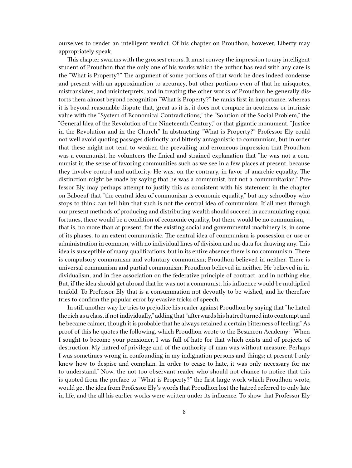ourselves to render an intelligent verdict. Of his chapter on Proudhon, however, Liberty may appropriately speak.

This chapter swarms with the grossest errors. It must convey the impression to any intelligent student of Proudhon that the only one of his works which the author has read with any care is the "What is Property?" The argument of some portions of that work he does indeed condense and present with an approximation to accuracy, but other portions even of that he misquotes, mistranslates, and misinterprets, and in treating the other works of Proudhon he generally distorts them almost beyond recognition "What is Property?" he ranks first in importance, whereas it is beyond reasonable dispute that, great as it is, it does not compare in acuteness or intrinsic value with the "System of Economical Contradictions," the "Solution of the Social Problem," the "General Idea of the Revolution of the Nineteenth Century," or that gigantic monument, "Justice in the Revolution and in the Church." In abstracting "What is Property?" Professor Ely could not well avoid quoting passages distinctly and bitterly antagonistic to communism, but in order that these might not tend to weaken the prevailing and erroneous impression that Proudhon was a communist, he volunteers the finical and strained explanation that "he was not a communist in the sense of favoring communities such as we see in a few places at present, because they involve control and authority. He was, on the contrary, in favor of anarchic equality. The distinction might be made by saying that he was a communist, but not a communitarian." Professor Ely may perhaps attempt to justify this as consistent with his statement in the chapter on Baboeuf that "the central idea of communism is economic equality," but any schoolboy who stops to think can tell him that such is not the central idea of communism. If all men through our present methods of producing and distributing wealth should succeed in accumulating equal fortunes, there would be a condition of economic equality, but there would be no communism, that is, no more than at present, for the existing social and governmental machinery is, in some of its phases, to an extent communistic. The central idea of communism is possession or use or administration in common, with no individual lines of division and no data for drawing any. This idea is susceptible of many qualifications, but in its entire absence there is no communism. There is compulsory communism and voluntary communism; Proudhon believed in neither. There is universal communism and partial communism; Proudhon believed in neither. He believed in individualism, and in free association on the federative principle of contract, and in nothing else. But, if the idea should get abroad that he was not a communist, his influence would be multiplied tenfold. To Professor Ely that is a consummation not devoutly to be wished, and he therefore tries to confirm the popular error by evasive tricks of speech.

In still another way he tries to prejudice his reader against Proudhon by saying that "he hated the rich as a class, if not individually," adding that "afterwards his hatred turned into contempt and he became calmer, though it is probable that he always retained a certain bitterness of feeling." As proof of this he quotes the following, which Proudhon wrote to the Besancon Academy: "When I sought to become your pensioner, I was full of hate for that which exists and of projects of destruction. My hatred of privilege and of the authority of man was without measure. Perhaps I was sometimes wrong in confounding in my indignation persons and things; at present I only know how to despise and complain. In order to cease to hate, it was only necessary for me to understand." Now, the not too observant reader who should not chance to notice that this is quoted from the preface to "What is Property?" the first large work which Proudhon wrote, would get the idea from Professor Ely's words that Proudhon lost the hatred referred to only late in life, and the all his earlier works were written under its influence. To show that Professor Ely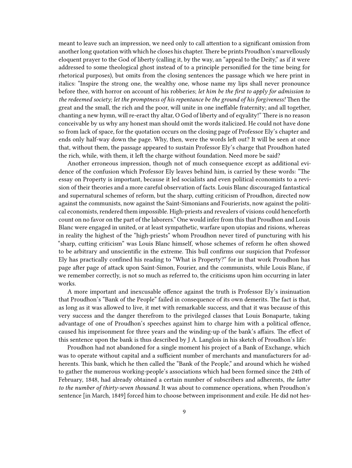meant to leave such an impression, we need only to call attention to a significant omission from another long quotation with which he closes his chapter.There be prints Proudhon's marvellously eloquent prayer to the God of liberty (calling it, by the way, an "appeal to the Deity," as if it were addressed to some theological ghost instead of to a principle personified for the time being for rhetorical purposes), but omits from the closing sentences the passage which we here print in italics: "Inspire the strong one, the wealthy one, whose name my lips shall never pronounce before thee, with horror on account of his robberies; *let him be the first to apply for admission to the redeemed society; let the promptness of his repentance be the ground of his forgiveness!* Then the great and the small, the rich and the poor, will unite in one ineffable fraternity; and all together, chanting a new hymn, will re-eract thy altar, O God of liberty and of eqyality!" There is no reason conceivable by us why any honest man should omit the words italicized. He could not have done so from lack of space, for the quotation occurs on the closing page of Professor Ely's chapter and ends only half-way down the page. Why, then, were the words left out? It will be seen at once that, without them, the passage appeared to sustain Professor Ely's charge that Proudhon hated the rich, while, with them, it left the charge without foundation. Need more be said?

Another erroneous impression, though not of much consequence except as additional evidence of the confusion which Professor Ely leaves behind him, is carried by these words: "The essay on Property is important, because it led socialists and even political economists to a revision of their theories and a more careful observation of facts. Louis Blanc discouraged fantastical and supernatural schemes of reform, but the sharp, cutting criticism of Proudhon, directed now against the communists, now against the Saint-Simonians and Fourierists, now against the political economists, rendered them impossible. High-priests and revealers of visions could henceforth count on no favor on the part of the laborers." One would infer from this that Proudhon and Louis Blanc were engaged in united, or at least sympathetic, warfare upon utopias and risions, whereas in reality the highest of the "high-priests" whom Proudhon never tired of puncturing with his "sharp, cutting criticism" was Louis Blanc himself, whose schemes of reform he often showed to be arbitrary and unscientific in the extreme. This bull confirms our suspicion that Professor Ely has practically confined his reading to "What is Property?" for in that work Proudhon has page after page of attack upon Saint-Simon, Fourier, and the communists, while Louis Blanc, if we remember correctly, is not so much as referred to, the criticisms upon him occurring in later works.

A more important and inexcusable offence against the truth is Professor Ely's insinuation that Proudhon's "Bank of the People" failed in consequence of its own demerits. The fact is that, as long as it was allowed to live, it met with remarkable success, and that it was because of this very success and the danger therefrom to the privileged classes that Louis Bonaparte, taking advantage of one of Proudhon's speeches against him to charge him with a political offence, caused his imprisonment for three years and the winding-up of the bank's affairs. The effect of this sentence upon the bank is thus described by J A. Langlois in his sketch of Proudhon's life:

Proudhon had not abandoned for a single moment his project of a Bank of Exchange, which was to operate without capital and a sufficient number of merchants and manufacturers for adherents. This bank, which he then called the "Bank of the People," and around which he wished to gather the numerous working-people's associations which had been formed since the 24th of February, 1848, had already obtained a certain number of subscribers and adherents, *the latter to the number of thirty-seven thousand.* It was about to commence operations, when Proudhon's sentence [in March, 1849] forced him to choose between imprisonment and exile. He did not hes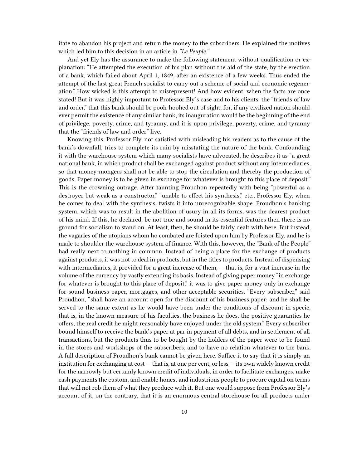itate to abandon his project and return the money to the subscribers. He explained the motives which led him to this decision in an article in *"Le Peuple."*

And yet Ely has the assurance to make the following statement without qualification or explanation: "He attempted the execution of his plan without the aid of the state, by the erection of a bank, which failed about April 1, 1849, after an existence of a few weeks. Thus ended the attempt of the last great French socialist to carry out a scheme of social and economic regeneration." How wicked is this attempt to misrepresent! And how evident, when the facts are once stated! But it was highly important to Professor Ely's case and to his clients, the "friends of law and order," that this bank should be pooh-hoohed out of sight; for, if any civilized nation should ever permit the existence of any similar bank, its inauguration would be the beginning of the end of privilege, poverty, crime, and tyranny, and it is upon privilege, poverty, crime, and tyranny that the "friends of law and order" live.

Knowing this, Professor Ely, not satisfied with misleading his readers as to the cause of the bank's downfall, tries to complete its ruin by misstating the nature of the bank. Confounding it with the warehouse system which many socialists have advocated, he describes it as "a great national bank, in which product shall be exchanged against product without any intermediaries, so that money-mongers shall not be able to stop the circulation and thereby the production of goods. Paper money is to be given in exchange for whatever is brought to this place of deposit." This is the crowning outrage. After taunting Proudhon repeatedly with being "powerful as a destroyer but weak as a constructor," "unable to effect his synthesis," etc., Professor Ely, when he comes to deal with the synthesis, twists it into unrecognizable shape. Proudhon's banking system, which was to result in the abolition of usury in all its forms, was the dearest product of his mind. If this, he declared, be not true and sound in its essential features then there is no ground for socialism to stand on. At least, then, he should be fairly dealt with here. But instead, the vagaries of the utopians whom ho combated are foisted upon him by Professor Ely, and he is made to shoulder the warehouse system of finance. With this, however, the "Bank of the People" had really next to nothing in common. Instead of being a place for the exchange of products against products, it was not to deal in products, but in the titles to products. Instead of dispensing with intermediaries, it provided for a great increase of them, — that is, for a vast increase in the volume of the currency by vastly extending its basis. Instead of giving paper money "in exchange for whatever is brought to this place of deposit," it was to give paper money only in exchange for sound business paper, mortgages, and other acceptable securities. "Every subscriber," said Proudhon, "shall have an account open for the discount of his business paper; and he shall be served to the same extent as he would have been under the conditions of discount in specie, that is, in the known measure of his faculties, the business he does, the positive guaranties he offers, the real credit he might reasonably have enjoyed under the old system." Every subscriber bound himself to receive the bank's paper at par in payment of all debts, and in settlement of all transactions, but the products thus to be bought by the holders of the paper were to be found in the stores and workshops of the subscribers, and to have no relation whatever to the bank. A full description of Proudhon's bank cannot be given here. Suffice it to say that it is simply an institution for exchanging at cost — that is, at one per cent, or less — its own widely known credit for the narrowly but certainly known credit of individuals, in order to facilitate exchanges, make cash payments the custom, and enable honest and industrious people to procure capital on terms that will not rob them of what they produce with it. But one would suppose from Professor Ely's account of it, on the contrary, that it is an enormous central storehouse for all products under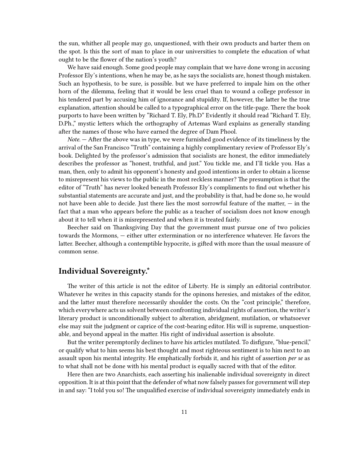the sun, whither all people may go, unquestioned, with their own products and barter them on the spot. Is this the sort of man to place in our universities to complete the education of what ought to be the flower of the nation's youth?

We have said enough. Some good people may complain that we have done wrong in accusing Professor Ely's intentions, when he may be, as he says the socialists are, honest though mistaken. Such an hypothesis, to be sure, is possible. but we have preferred to impale him on the other horn of the dilemma, feeling that it would be less cruel than to wound a college professor in his tendered part by accusing him of ignorance and stupidity. If, however, the latter be the true explanation, attention should be called to a typographical error on the title-page. There the book purports to have been written by "Richard T. Ely, Ph.D" Evidently it should read "Richard T. Ely, D.Ph.," mystic letters which the orthography of Artemas Ward explains as generally standing after the names of those who have earned the degree of Dam Phool.

*Note.* — After the above was in type, we were furnished good evidence of its timeliness by the arrival of the San Francisco "Truth" containing a highly complimentary review of Professor Ely's book. Delighted by the professor's admission that socialists are honest, the editor immediately describes the professor as "honest, truthful, and just." You tickle me, and I'll tickle you. Has a man, then, only to admit his opponent's honesty and good intentions in order to obtain a license to misrepresent his views to the public in the most reckless manner? The presumption is that the editor of "Truth" has never looked beneath Professor Ely's compliments to find out whether his substantial statements are accurate and just, and the probability is that, had be done so, he would not have been able to decide. Just there lies the most sorrowful feature of the matter, — in the fact that a man who appears before the public as a teacher of socialism does not know enough about it to tell when it is misrepresented and when it is treated fairly.

Beecher said on Thanksgiving Day that the government must pursue one of two policies towards the Mormons, — either utter extermination or no interference whatever. He favors the latter. Beecher, although a contemptible hypocrite, is gifted with more than the usual measure of common sense.

## <span id="page-10-0"></span>**Individual Sovereignty.\***

The writer of this article is not the editor of Liberty. He is simply an editorial contributor. Whatever he writes in this capacity stands for the opinons heresies, and mistakes of the editor, and the latter must therefore necessarily shoulder the costs. On the "cost principle," therefore, which everywhere acts us solvent between confronting individual rights of assertion, the writer's literary product is unconditionally subject to alteration, abridgment, mutilation, or whatsoever else may suit the judgment or caprice of the cost-bearing editor. His will is supreme, unquestionable, and beyond appeal in the matter. His right of individual assertion is absolute.

But the writer peremptorily declines to have his articles mutilated. To disfigure, "blue-pencil," or qualify what to him seems his best thought and most righteous sentiment is to him next to an assault upon his mental integrity. He emphatically forbids it, and his right of assertion *per se* as to what shall not be done with his mental product is equally sacred with that of the editor.

Here then are two Anarchists, each asserting his inalienable individual sovereignty in direct opposition. It is at this point that the defender of what now falsely passes for government will step in and say: "I told you so! The unqualified exercise of individual sovereignty immediately ends in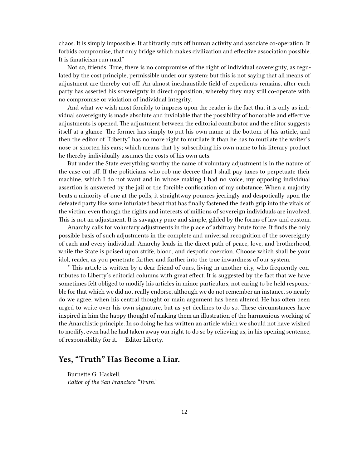chaos. It is simply impossible. It arbitrarily cuts off human activity and associate co-operation. It forbids compromise, that only bridge which makes civilization and effective association possible. It is fanaticism run mad."

Not so, friends. True, there is no compromise of the right of individual sovereignty, as regulated by the cost principle, permissible under our system; but this is not saying that all means of adjustment are thereby cut off. An almost inexhaustible field of expedients remains, after each party has asserted his sovereignty in direct opposition, whereby they may still co-operate with no compromise or violation of individual integrity.

And what we wish most forcibly to impress upon the reader is the fact that it is only as individual sovereignty is made absolute and inviolable that the possibility of honorable and effective adjustments is opened. The adjustment between the editorial contributor and the editor suggests itself at a glance. The former has simply to put his own name at the bottom of his article, and then the editor of "Liberty" has no more right to mutilate it than he has to mutilate the writer's nose or shorten his ears; which means that by subscribing his own name to his literary product he thereby individually assumes the costs of his own acts.

But under the State everything worthy the name of voluntary adjustment is in the nature of the case cut off. If the politicians who rob me decree that I shall pay taxes to perpetuate their machine, which I do not want and in whose making I had no voice, my opposing individual assertion is answered by the jail or the forcible confiscation of my substance. When a majority beats a minority of one at the polls, it straightway pounces jeeringly and despotically upon the defeated party like some infuriated beast that has finally fastened the death grip into the vitals of the victim, even though the rights and interests of millions of sovereign individuals are involved. This is not an adjustment. It is savagery pure and simple, gilded by the forms of law and custom.

Anarchy calls for voluntary adjustments in the place of arbitrary brute force. It finds the only possible basis of such adjustments in the complete and universal recognition of the sovereignty of each and every individual. Anarchy leads in the direct path of peace, love, and brotherhood, while the State is poised upon strife, blood, and despotic coercion. Choose which shall be your idol, reader, as you penetrate farther and farther into the true inwardness of our system.

\* This article is written by a dear friend of ours, living in another city, who frequently contributes to Liberty's editorial columns with great effect. It is suggested by the fact that we have sometimes felt obliged to modify his articles in minor particulars, not caring to be held responsible for that which we did not really endorse, although we do not remember an instance, so nearly do we agree, when his central thought or main argument has been altered, He has often been urged to write over his own signature, but as yet declines to do so. These circumstances have inspired in him the happy thought of making them an illustration of the harmonious working of the Anarchistic principle. In so doing he has written an article which we should not have wished to modify, even had he had taken away our right to do so by relieving us, in his opening sentence, of responsibility for it. — Editor Liberty.

## <span id="page-11-0"></span>**Yes, "Truth" Has Become a Liar.**

Burnette G. Haskell, *Editor of the San Francisco "Truth."*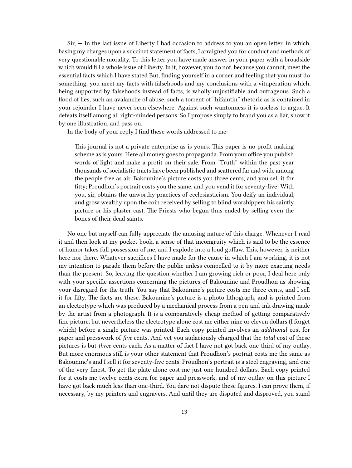Sir, — In the last issue of Liberty I had occasion to address to you an open letter, in which, basing my charges upon a succinct statement of facts, I arraigned you for conduct and methods of very questionable morality. To this letter you have made answer in your paper with a broadside which would fill a whole issue of Liberty. In it, however, you do not, because you cannot, meet the essential facts which I have stated But, finding yourself in a corner and feeling that you must do something, you meet my facts with falsehoods and my conclusions with a vituperation which, being supported by falsehoods instead of facts, is wholly unjustifiable and outrageous. Such a flood of lies, such an avalanche of abuse, such a torrent of "hifalutin" rhetoric as is contained in your rejoinder I have never seen elsewhere. Against such wantonness it is useless to argue. It defeats itself among all right-minded persons. So I propose simply to brand you as a liar, show it by one illustration, and pass on.

In the body of your reply I find these words addressed to me:

This journal is not a private enterprise as is yours. This paper is no profit making scheme as is yours. Here all money goes to propaganda. From your office you publish words of light and make a protit on their sale. From "Truth" within the past year thousands of socialistic tracts have been published and scattered far and wide among the people free as air. Bakounine's picture costs you three cents, and you sell it for fitty; Proudhon's portrait costs you the same, and you vend it for seventy-five! With you, sir, obtains the unworthy practices of ecclesiasticism. You deify an individual, and grow wealthy upon the coin received by selling to blind worshippers his saintly picture or his plaster cast. The Priests who begun thus ended by selling even the bones of their dead saints.

No one but myself can fully appreciate the amusing nature of this charge. Whenever I read it and then look at my pocket-book, a sense of that incongruity which is said to be the essence of humor takes full possession of me, and I explode into a loud guffaw. This, however, is neither here nor there. Whatever sacrifices I have made for the cause in which I am working, it is not my intention to parade them before the public unless compelled to it by more exacting needs than the present. So, leaving the question whether I am growing rich or poor, I deal here only with your specific assertions concerning the pictures of Bakounine and Proudhon as showing your disregard for the truth. You say that Bakounine's picture costs me three cents, and I sell it for fifty. The facts are these. Bakounine's picture is a photo-lithograph, and is printed from an electrotype which was produced by a mechanical process from a pen-and-ink drawing made by the artist from a photograph. It is a comparatively cheap method of getting comparatively fine picture, but nevertheless the electrotype alone cost me either nine or eleven dollars (I forget which) before a single picture was printed. Each copy printed involves an *additional* cost for paper and presswork of *five* cents. And yet you audaciously charged that the *total* cost of these pictures is but *three* cents each. As a matter of fact I have not got back one-third of my outlay. But more enormous still is your other statement that Proudhon's portrait costs me the same as Bakounine's and I sell it for seventy-five cents. Proudhon's portrait is a steel engraving, and one of the very finest. To get the plate alone cost me just one hundred dollars. Each copy printed for it costs me twelve cents extra for paper and presswork, and of my outlay on this picture I have got back much less than one-third. You dare not dispute these figures. I can prove them, if necessary, by my printers and engravers. And until they are disputed and disproved, you stand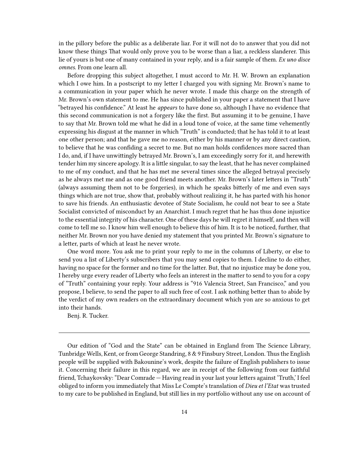in the pillory before the public as a deliberate liar. For it will not do to answer that you did not know these things That would only prove you to be worse than a liar, a reckless slanderer. This lie of yours is but one of many contained in your reply, and is a fair sample of them. *Ex uno disce omnes.* From one learn all.

Before dropping this subject altogether, I must accord to Mr. H. W. Brown an explanation which I owe him. In a postscript to my letter I charged you with signing Mr. Brown's name to a communication in your paper which he never wrote. I made this charge on the strength of Mr. Brown's own statement to me. He has since published in your paper a statement that I have "betrayed his confidence." At least he *appears* to have done so, although I have no evidence that this second communication is not a forgery like the first. But assuming it to be genuine, I have to say that Mr. Brown told me what he did in a loud tone of voice, at the same time vehemently expressing his disgust at the manner in which "Truth" is conducted; that he has told it to at least one other person; and that he gave me no reason, either by his manner or by any direct caution, to believe that he was confiding a secret to me. But no man holds confidences more sacred than I do, and, if I have unwittingly betrayed Mr. Brown's, I am exceedingly sorry for it, and herewith tender him my sincere apology. It is a little singular, to say the least, that he has never complained to me of my conduct, and that he has met me several times since the alleged betrayal precisely as he always met me and as one good friend meets another. Mr. Brown's later letters in "Truth" (always assuming them not to be forgeries), in which he speaks bitterly of me and even says things which are not true, show that, probably without realizing it, he has parted with his honor to save his friends. An enthusiastic devotee of State Socialism, he could not bear to see a State Socialist convicted of misconduct by an Anarchist. I much regret that he has thus done injustice to the essential integrity of his character. One of these days he will regret it himself, and then will come to tell me so. I know him well enough to believe this of him. It is to be noticed, further, that neither Mr. Brown nor you have denied my statement that you printed Mr. Brown's signature to a letter, parts of which at least he never wrote.

One word more. You ask me to print your reply to me in the columns of Liberty, or else to send you a list of Liberty's subscribers that you may send copies to them. I decline to do either, having no space for the former and no time for the latter. But, that no injustice may be done you, I hereby urge every reader of Liberty who feels an interest in the matter to send to you for a copy of "Truth" containing your reply. Your address is "916 Valencia Street, San Francisco," and you propose, I believe, to send the paper to all such free of cost. I ask nothing better than to abide by the verdict of my own readers on the extraordinary document which yon are so anxious to get into their hands.

Benj. R. Tucker.

Our edition of "God and the State" can be obtained in England from The Science Library, Tunbridge Wells, Kent, or from George Standring, 8 & 9 Finsbury Street, London. Thus the English people will be supplied with Bakounine's work, despite the failure of English publishers to issue it. Concerning their failure in this regard, we are in receipt of the following from our faithful friend, Tchaykovsky: "Dear Comrade — Having read in your last your letters against 'Truth,' I feel obliged to inform you immediately that Miss Le Compte's translation of *Dieu et l'Etat* was trusted to my care to be published in England, but still lies in my portfolio without any use on account of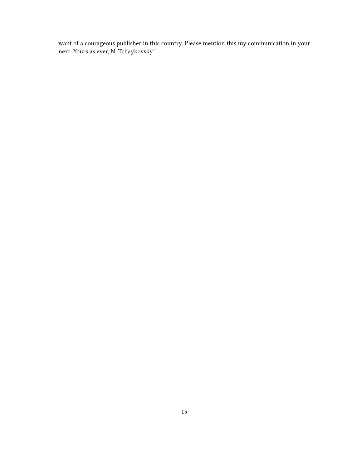want of a courageous publisher in this country. Please mention this my communication in your next. Yours as ever, N. Tchaykovsky."